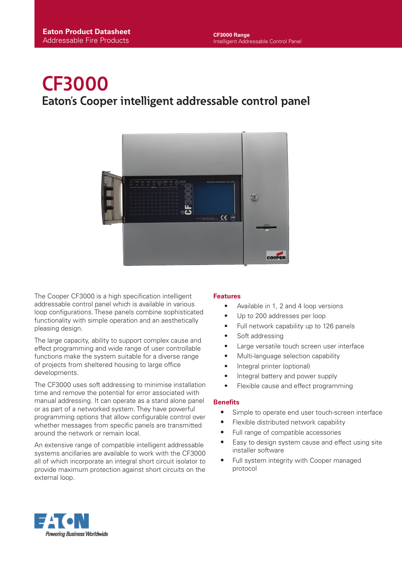# **CF3000 Eaton's Cooper intelligent addressable control panel**



The Cooper CF3000 is a high specification intelligent addressable control panel which is available in various loop configurations. These panels combine sophisticated functionality with simple operation and an aesthetically pleasing design.

The large capacity, ability to support complex cause and effect programming and wide range of user controllable functions make the system suitable for a diverse range of projects from sheltered housing to large office developments.

The CF3000 uses soft addressing to minimise installation time and remove the potential for error associated with manual addressing. It can operate as a stand alone panel or as part of a networked system. They have powerful programming options that allow configurable control over whether messages from specific panels are transmitted around the network or remain local.

An extensive range of compatible intelligent addressable systems ancillaries are available to work with the CF3000 all of which incorporate an integral short circuit isolator to provide maximum protection against short circuits on the external loop.

#### **Features**

- **•** Available in 1, 2 and 4 loop versions
- **•** Up to 200 addresses per loop
- **•** Full network capability up to 126 panels
- **•** Soft addressing
- **•** Large versatile touch screen user interface
- **•** Multi-language selection capability
- **•** Integral printer (optional)
- **•** Integral battery and power supply
- **•** Flexible cause and effect programming

#### **Benefits**

- Simple to operate end user touch-screen interface
- Flexible distributed network capability
- Full range of compatible accessories
- Easy to design system cause and effect using site installer software
- Full system integrity with Cooper managed protocol